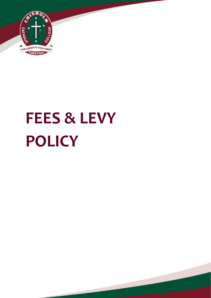

# **FEES & LEVY POLICY**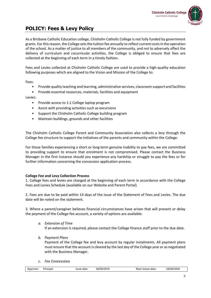

As a Brisbane Catholic Education college, Chisholm Catholic College is not fully funded by government grants. For this reason, the College sets the tuition fee annually to reflect current costs in the operation of the school. As a matter of justice to all members of the community, and not to adversely affect the delivery of curriculum and cocurricular activities, the College is obliged to ensure that fees are collected at the beginning of each term in a timely fashion.

Fees and Levies collected at Chisholm Catholic College are used to provide a high-quality education following purposes which are aligned to the Vision and Mission of the College to:

Fees:

- Provide quality teaching and learning, administrative services, classroom support and facilities
- Provide essential resources, materials, facilities and equipment

# Levies:

- Provide access to 1:1 College laptop program
- Assist with providing activities such as excursions
- Support the Chisholm Catholic College building program
- Maintain buildings, grounds and other facilities

The Chisholm Catholic College Parent and Community Association also collects a levy through the College fee structure to support the initiatives of the parents and community within the College.

For those families experiencing a short or long-term genuine inability to pay fees, we are committed to providing support to ensure that enrolment is not compromised. Please contact the Business Manager in the first instance should you experience any hardship or struggle to pay the fees or for further information concerning the concession application process.

# **College Fee and Levy Collection Process**

1. College fees and levies are charged at the beginning of each term in accordance with the College Fees and Levies Schedule (available on our Website and Parent Portal).

2. Fees are due to be paid within 14 days of the issue of the Statement of Fees and Levies. The due date will be noted on the statement.

3. Where a parent/caregiver believes financial circumstances have arisen that will prevent or delay the payment of the College fee account, a variety of options are available:

*a. Extension of Time* 

If an extension is required, please contact the College finance staff prior to the due date.

*b. Payment Plans* 

Payment of the College fee and levy account by regular instalments. All payment plans must ensure that the account is cleared by the last day of the College year or as negotiated with the Business Manager.

*c. Fee Concessions* 

| 18/09/2020<br>18/09/2019<br>Approver <sup>.</sup><br>Principal<br>Next review date:<br>date<br>Issue |
|------------------------------------------------------------------------------------------------------|
|------------------------------------------------------------------------------------------------------|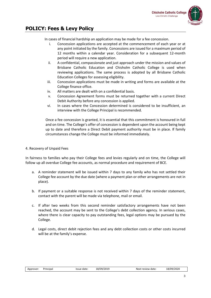

In cases of financial hardship an application may be made for a fee concession.

- i. Concession applications are accepted at the commencement of each year or at any point initiated by the family. Concessions are issued for a maximum period of 12 months within a calendar year. Consideration for a subsequent 12-month period will require a new application.
- ii. A confidential, compassionate and just approach under the mission and values of Brisbane Catholic Education and Chisholm Catholic College is used when reviewing applications. The same process is adopted by all Brisbane Catholic Education Colleges for assessing eligibility.
- iii. Concession applications must be made in writing and forms are available at the College finance office.
- iv. All matters are dealt with on a confidential basis.
- v. Concession Agreement forms must be returned together with a current Direct Debit Authority before any concession is applied.
- vi. In cases where the Concession determined is considered to be insufficient, an interview with the College Principal is recommended.

Once a fee concession is granted, it is essential that this commitment is honoured in full and on time. The College's offer of concession is dependent upon the account being kept up to date and therefore a Direct Debit payment authority must be in place. If family circumstances change the College must be informed immediately.

# 4. Recovery of Unpaid Fees

In fairness to families who pay their College fees and levies regularly and on time, the College will follow up all overdue College fee accounts, as normal procedure and requirement of BCE.

- a. A reminder statement will be issued within 7 days to any family who has not settled their College fee account by the due date (where a payment plan or other arrangements are not in place).
- b. If payment or a suitable response is not received within 7 days of the reminder statement, contact with the parent will be made via telephone, mail or email.
- c. If after two weeks from this second reminder satisfactory arrangements have not been reached, the account may be sent to the College's debt collection agency. In serious cases, where there is clear capacity to pay outstanding fees, legal options may be pursued by the College.
- d. Legal costs, direct debit rejection fees and any debt collection costs or other costs incurred will be at the family's expense.

| Approver: | Principa |
|-----------|----------|
|           |          |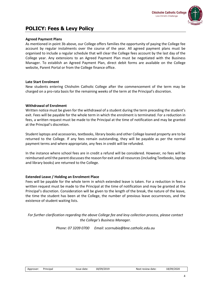# **Agreed Payment Plans**

As mentioned in point 3b above, our College offers families the opportunity of paying the College fee account by regular instalments over the course of the year. All agreed payment plans must be organised to include a regular schedule that will clear the College fees account by the last day of the College year. Any extensions to an Agreed Payment Plan must be negotiated with the Business Manager. To establish an Agreed Payment Plan, direct debit forms are available on the College website, Parent Portal or from the College finance office.

#### **Late Start Enrolment**

New students entering Chisholm Catholic College after the commencement of the term may be charged on a pro-rata basis for the remaining weeks of the term at the Principal's discretion.

#### **Withdrawal of Enrolment**

Written notice must be given for the withdrawal of a student during the term preceding the student's exit. Fees will be payable for the whole term in which the enrolment is terminated. For a reduction in fees, a written request must be made to the Principal at the time of notification and may be granted at the Principal's discretion.

Student laptops and accessories, textbooks, library books and other College loaned property are to be returned to the College. If any fees remain outstanding, they will be payable as per the normal payment terms and where appropriate, any fees in credit will be refunded.

In the instance where school fees are in credit a refund will be considered. However, no fees will be reimbursed until the parent discusses the reason for exit and all resources (including Textbooks, laptop and library books) are returned to the College.

# **Extended Leave / Holding an Enrolment Place**

Fees will be payable for the whole term in which extended leave is taken. For a reduction in fees a written request must be made to the Principal at the time of notification and may be granted at the Principal's discretion. Consideration will be given to the length of the break, the nature of the leave, the time the student has been at the College, the number of previous leave occurrences, and the existence of student waiting lists.

*For further clarification regarding the above College fee and levy collection process, please contact the College's Business Manager.*

*Phone: 07 3209 0700 Email: scornubia@bne.catholic.edu.au*